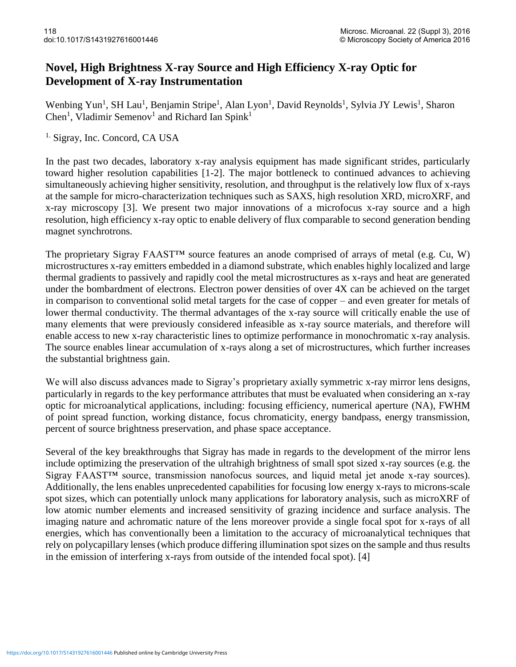## **Novel, High Brightness X-ray Source and High Efficiency X-ray Optic for Development of X-ray Instrumentation**

Wenbing Yun<sup>1</sup>, SH Lau<sup>1</sup>, Benjamin Stripe<sup>1</sup>, Alan Lyon<sup>1</sup>, David Reynolds<sup>1</sup>, Sylvia JY Lewis<sup>1</sup>, Sharon Chen<sup>1</sup>, Vladimir Semenov<sup>1</sup> and Richard Ian Spink<sup>1</sup>

<sup>1.</sup> Sigray, Inc. Concord, CA USA

In the past two decades, laboratory x-ray analysis equipment has made significant strides, particularly toward higher resolution capabilities [1-2]. The major bottleneck to continued advances to achieving simultaneously achieving higher sensitivity, resolution, and throughput is the relatively low flux of x-rays at the sample for micro-characterization techniques such as SAXS, high resolution XRD, microXRF, and x-ray microscopy [3]. We present two major innovations of a microfocus x-ray source and a high resolution, high efficiency x-ray optic to enable delivery of flux comparable to second generation bending magnet synchrotrons.

The proprietary Sigray FAAST™ source features an anode comprised of arrays of metal (e.g. Cu, W) microstructures x-ray emitters embedded in a diamond substrate, which enables highly localized and large thermal gradients to passively and rapidly cool the metal microstructures as x-rays and heat are generated under the bombardment of electrons. Electron power densities of over 4X can be achieved on the target in comparison to conventional solid metal targets for the case of copper – and even greater for metals of lower thermal conductivity. The thermal advantages of the x-ray source will critically enable the use of many elements that were previously considered infeasible as x-ray source materials, and therefore will enable access to new x-ray characteristic lines to optimize performance in monochromatic x-ray analysis. The source enables linear accumulation of x-rays along a set of microstructures, which further increases the substantial brightness gain.

We will also discuss advances made to Sigray's proprietary axially symmetric x-ray mirror lens designs, particularly in regards to the key performance attributes that must be evaluated when considering an x-ray optic for microanalytical applications, including: focusing efficiency, numerical aperture (NA), FWHM of point spread function, working distance, focus chromaticity, energy bandpass, energy transmission, percent of source brightness preservation, and phase space acceptance.

Several of the key breakthroughs that Sigray has made in regards to the development of the mirror lens include optimizing the preservation of the ultrahigh brightness of small spot sized x-ray sources (e.g. the Sigray FAAST™ source, transmission nanofocus sources, and liquid metal jet anode x-ray sources). Additionally, the lens enables unprecedented capabilities for focusing low energy x-rays to microns-scale spot sizes, which can potentially unlock many applications for laboratory analysis, such as microXRF of low atomic number elements and increased sensitivity of grazing incidence and surface analysis. The imaging nature and achromatic nature of the lens moreover provide a single focal spot for x-rays of all energies, which has conventionally been a limitation to the accuracy of microanalytical techniques that rely on polycapillary lenses (which produce differing illumination spot sizes on the sample and thus results in the emission of interfering x-rays from outside of the intended focal spot). [4]